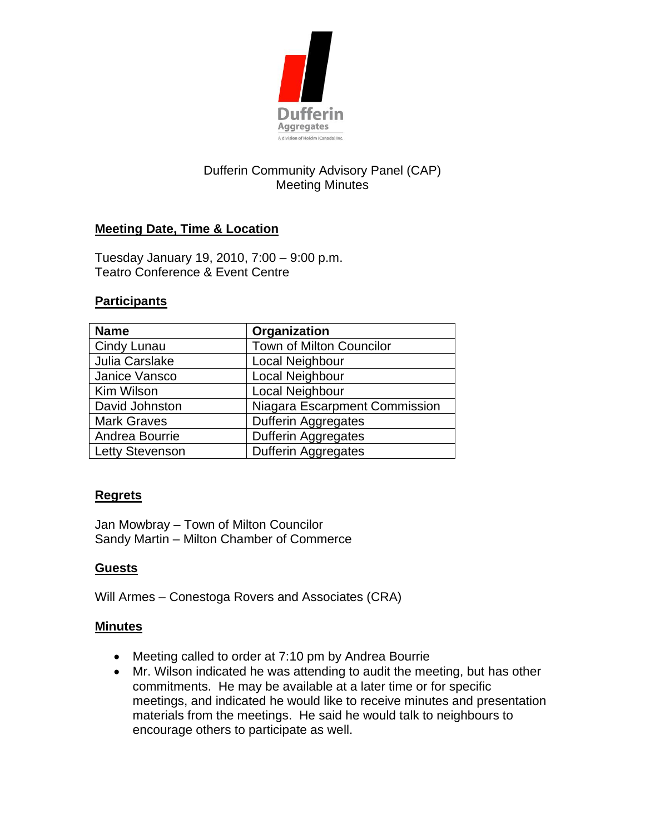

# Dufferin Community Advisory Panel (CAP) Meeting Minutes

## **Meeting Date, Time & Location**

Tuesday January 19, 2010, 7:00 – 9:00 p.m. Teatro Conference & Event Centre

#### **Participants**

| <b>Name</b>            | Organization                  |
|------------------------|-------------------------------|
| Cindy Lunau            | Town of Milton Councilor      |
| Julia Carslake         | Local Neighbour               |
| Janice Vansco          | Local Neighbour               |
| Kim Wilson             | Local Neighbour               |
| David Johnston         | Niagara Escarpment Commission |
| <b>Mark Graves</b>     | Dufferin Aggregates           |
| Andrea Bourrie         | <b>Dufferin Aggregates</b>    |
| <b>Letty Stevenson</b> | <b>Dufferin Aggregates</b>    |

## **Regrets**

Jan Mowbray – Town of Milton Councilor Sandy Martin – Milton Chamber of Commerce

## **Guests**

Will Armes – Conestoga Rovers and Associates (CRA)

#### **Minutes**

- Meeting called to order at 7:10 pm by Andrea Bourrie
- Mr. Wilson indicated he was attending to audit the meeting, but has other commitments. He may be available at a later time or for specific meetings, and indicated he would like to receive minutes and presentation materials from the meetings. He said he would talk to neighbours to encourage others to participate as well.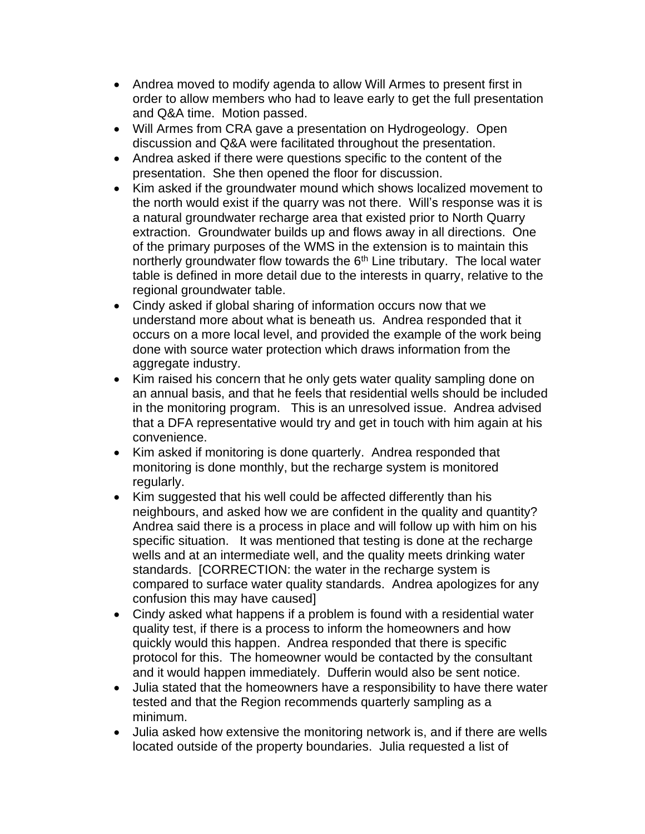- Andrea moved to modify agenda to allow Will Armes to present first in order to allow members who had to leave early to get the full presentation and Q&A time. Motion passed.
- Will Armes from CRA gave a presentation on Hydrogeology. Open discussion and Q&A were facilitated throughout the presentation.
- Andrea asked if there were questions specific to the content of the presentation. She then opened the floor for discussion.
- Kim asked if the groundwater mound which shows localized movement to the north would exist if the quarry was not there. Will's response was it is a natural groundwater recharge area that existed prior to North Quarry extraction. Groundwater builds up and flows away in all directions. One of the primary purposes of the WMS in the extension is to maintain this northerly groundwater flow towards the  $6<sup>th</sup>$  Line tributary. The local water table is defined in more detail due to the interests in quarry, relative to the regional groundwater table.
- Cindy asked if global sharing of information occurs now that we understand more about what is beneath us. Andrea responded that it occurs on a more local level, and provided the example of the work being done with source water protection which draws information from the aggregate industry.
- Kim raised his concern that he only gets water quality sampling done on an annual basis, and that he feels that residential wells should be included in the monitoring program. This is an unresolved issue. Andrea advised that a DFA representative would try and get in touch with him again at his convenience.
- Kim asked if monitoring is done quarterly. Andrea responded that monitoring is done monthly, but the recharge system is monitored regularly.
- Kim suggested that his well could be affected differently than his neighbours, and asked how we are confident in the quality and quantity? Andrea said there is a process in place and will follow up with him on his specific situation. It was mentioned that testing is done at the recharge wells and at an intermediate well, and the quality meets drinking water standards. [CORRECTION: the water in the recharge system is compared to surface water quality standards. Andrea apologizes for any confusion this may have caused]
- Cindy asked what happens if a problem is found with a residential water quality test, if there is a process to inform the homeowners and how quickly would this happen. Andrea responded that there is specific protocol for this. The homeowner would be contacted by the consultant and it would happen immediately. Dufferin would also be sent notice.
- Julia stated that the homeowners have a responsibility to have there water tested and that the Region recommends quarterly sampling as a minimum.
- Julia asked how extensive the monitoring network is, and if there are wells located outside of the property boundaries. Julia requested a list of